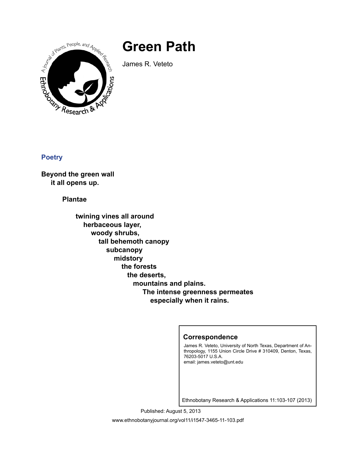## **Green Path**

A Marts, People, and Applied Research Cations

James R. Veteto

**Poetry**

**Beyond the green wall it all opens up.**

 **Plantae**

 **twining vines all around herbaceous layer, woody shrubs, tall behemoth canopy subcanopy midstory the forests the deserts, mountains and plains. The intense greenness permeates especially when it rains.**

## **Correspondence**

James R. Veteto, University of North Texas, Department of Anthropology, 1155 Union Circle Drive # 310409, Denton, Texas, 76203-5017 U.S.A. email: james.veteto@unt.edu

Ethnobotany Research & Applications 11:103-107 (2013)

www.ethnobotanyjournal.org/vol11/i1547-3465-11-103.pdf Published: August 5, 2013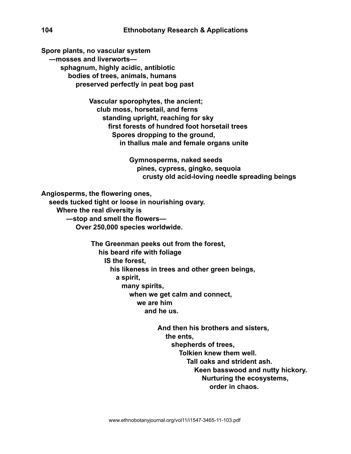**Spore plants, no vascular system ―mosses and liverworts sphagnum, highly acidic, antibiotic bodies of trees, animals, humans preserved perfectly in peat bog past**

> **Vascular sporophytes, the ancient; club moss, horsetail, and ferns standing upright, reaching for sky first forests of hundred foot horsetail trees Spores dropping to the ground, in thallus male and female organs unite**

> > **Gymnosperms, naked seeds pines, cypress, gingko, sequoia crusty old acid-loving needle spreading beings**

**Angiosperms, the flowering ones,**

 **seeds tucked tight or loose in nourishing ovary.**

 **Where the real diversity is**

 **―stop and smell the flowers—**

 **Over 250,000 species worldwide.**

 **The Greenman peeks out from the forest, his beard rife with foliage IS the forest, his likeness in trees and other green beings, a spirit, many spirits, when we get calm and connect, we are him and he us.**

> **And then his brothers and sisters, the ents, shepherds of trees, Tolkien knew them well. Tall oaks and strident ash. Keen basswood and nutty hickory. Nurturing the ecosystems, order in chaos.**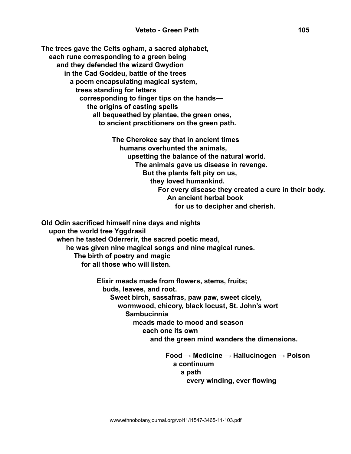**The trees gave the Celts ogham, a sacred alphabet, each rune corresponding to a green being and they defended the wizard Gwydion in the Cad Goddeu, battle of the trees a poem encapsulating magical system, trees standing for letters corresponding to finger tips on the hands the origins of casting spells all bequeathed by plantae, the green ones, to ancient practitioners on the green path.**

> **The Cherokee say that in ancient times humans overhunted the animals, upsetting the balance of the natural world. The animals gave us disease in revenge. But the plants felt pity on us, they loved humankind. For every disease they created a cure in their body. An ancient herbal book for us to decipher and cherish.**

**Old Odin sacrificed himself nine days and nights upon the world tree Yggdrasil when he tasted Oderrerir, the sacred poetic mead, he was given nine magical songs and nine magical runes. The birth of poetry and magic for all those who will listen.**

> **Elixir meads made from flowers, stems, fruits; buds, leaves, and root. Sweet birch, sassafras, paw paw, sweet cicely, wormwood, chicory, black locust, St. John's wort Sambucinnia meads made to mood and season each one its own and the green mind wanders the dimensions.**

 **Food → Medicine → Hallucinogen → Poison a continuum a path and a path and a path and a path every winding, ever flowing**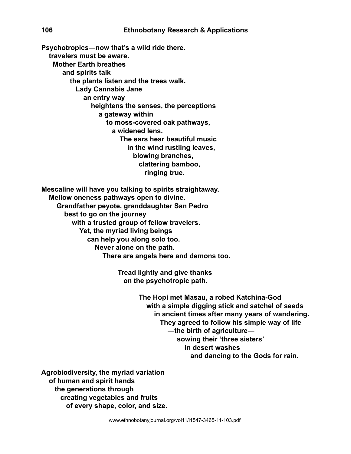**Psychotropics―now that's a wild ride there. travelers must be aware. Mother Earth breathes and spirits talk the plants listen and the trees walk. Lady Cannabis Jane an entry way heightens the senses, the perceptions a gateway within to moss-covered oak pathways, a widened lens. The ears hear beautiful music in the wind rustling leaves, blowing branches, clattering bamboo, ringing true.**

**Mescaline will have you talking to spirits straightaway. Mellow oneness pathways open to divine. Grandfather peyote, granddaughter San Pedro best to go on the journey with a trusted group of fellow travelers. Yet, the myriad living beings can help you along solo too. Never alone on the path. There are angels here and demons too.**

> **Tread lightly and give thanks on the psychotropic path.**

> > **The Hopi met Masau, a robed Katchina-God with a simple digging stick and satchel of seeds in ancient times after many years of wandering. They agreed to follow his simple way of life ―the birth of agriculture― sowing their 'three sisters' in desert washes and dancing to the Gods for rain.**

**Agrobiodiversity, the myriad variation of human and spirit hands the generations through creating vegetables and fruits of every shape, color, and size.**